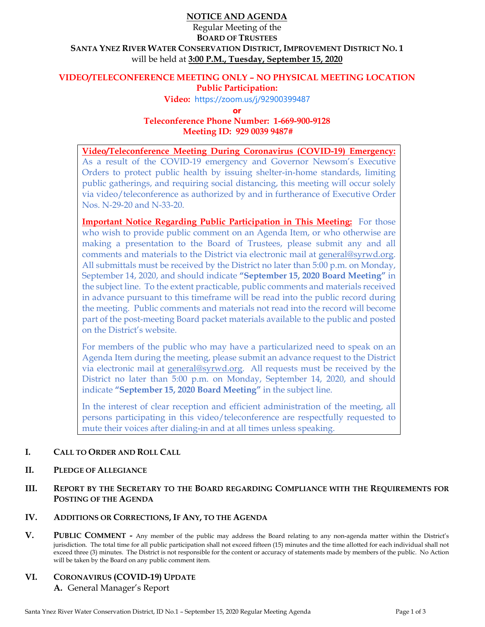# **NOTICE AND AGENDA**

# Regular Meeting of the **BOARD OF TRUSTEES SANTA YNEZ RIVER WATER CONSERVATION DISTRICT, IMPROVEMENT DISTRICT NO. 1**  will be held at **3:00 P.M., Tuesday, September 15, 2020**

## **VIDEO/TELECONFERENCE MEETING ONLY – NO PHYSICAL MEETING LOCATION Public Participation:**

**Video:** https://zoom.us/j/92900399487

**or**

**Teleconference Phone Number: 1-669-900-9128 Meeting ID: 929 0039 9487#** 

**Video/Teleconference Meeting During Coronavirus (COVID-19) Emergency:** As a result of the COVID-19 emergency and Governor Newsom's Executive Orders to protect public health by issuing shelter-in-home standards, limiting public gatherings, and requiring social distancing, this meeting will occur solely via video/teleconference as authorized by and in furtherance of Executive Order Nos. N-29-20 and N-33-20.

**Important Notice Regarding Public Participation in This Meeting:** For those who wish to provide public comment on an Agenda Item, or who otherwise are making a presentation to the Board of Trustees, please submit any and all comments and materials to the District via electronic mail at general@syrwd.org. All submittals must be received by the District no later than 5:00 p.m. on Monday, September 14, 2020, and should indicate **"September 15, 2020 Board Meeting"** in the subject line. To the extent practicable, public comments and materials received in advance pursuant to this timeframe will be read into the public record during the meeting. Public comments and materials not read into the record will become part of the post-meeting Board packet materials available to the public and posted on the District's website.

For members of the public who may have a particularized need to speak on an Agenda Item during the meeting, please submit an advance request to the District via electronic mail at general@syrwd.org. All requests must be received by the District no later than 5:00 p.m. on Monday, September 14, 2020, and should indicate **"September 15, 2020 Board Meeting"** in the subject line.

In the interest of clear reception and efficient administration of the meeting, all persons participating in this video/teleconference are respectfully requested to mute their voices after dialing-in and at all times unless speaking.

# **I. CALL TO ORDER AND ROLL CALL**

## **II. PLEDGE OF ALLEGIANCE**

## **III. REPORT BY THE SECRETARY TO THE BOARD REGARDING COMPLIANCE WITH THE REQUIREMENTS FOR POSTING OF THE AGENDA**

## **IV. ADDITIONS OR CORRECTIONS, IF ANY, TO THE AGENDA**

**V. PUBLIC COMMENT -** Any member of the public may address the Board relating to any non-agenda matter within the District's jurisdiction. The total time for all public participation shall not exceed fifteen (15) minutes and the time allotted for each individual shall not exceed three (3) minutes. The District is not responsible for the content or accuracy of statements made by members of the public. No Action will be taken by the Board on any public comment item.

## **VI. CORONAVIRUS (COVID-19) UPDATE**

**A.** General Manager's Report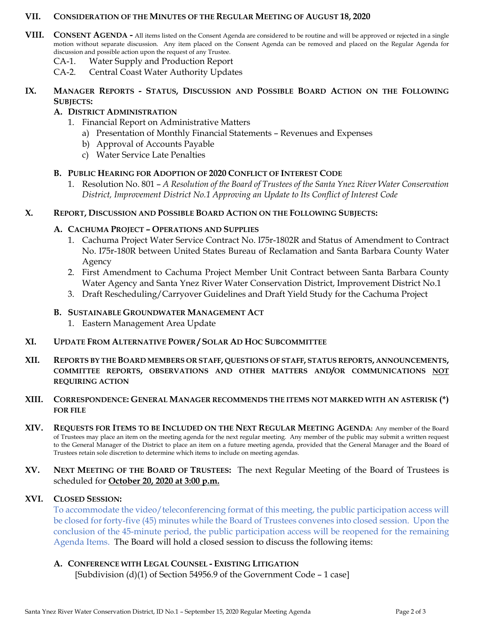#### **VII. CONSIDERATION OF THE MINUTES OF THE REGULAR MEETING OF AUGUST 18, 2020**

- **VIII. CONSENT AGENDA -** All items listed on the Consent Agenda are considered to be routine and will be approved or rejected in a single motion without separate discussion. Any item placed on the Consent Agenda can be removed and placed on the Regular Agenda for discussion and possible action upon the request of any Trustee.
	- CA-1. Water Supply and Production Report
	- CA-2. Central Coast Water Authority Updates

## **IX. MANAGER REPORTS - STATUS, DISCUSSION AND POSSIBLE BOARD ACTION ON THE FOLLOWING SUBJECTS:**

## **A. DISTRICT ADMINISTRATION**

- 1. Financial Report on Administrative Matters
	- a) Presentation of Monthly Financial Statements Revenues and Expenses
	- b) Approval of Accounts Payable
	- c) Water Service Late Penalties

## **B. PUBLIC HEARING FOR ADOPTION OF 2020 CONFLICT OF INTEREST CODE**

1. Resolution No. 801 – *A Resolution of the Board of Trustees of the Santa Ynez River Water Conservation District, Improvement District No.1 Approving an Update to Its Conflict of Interest Code*

#### **X. REPORT, DISCUSSION AND POSSIBLE BOARD ACTION ON THE FOLLOWING SUBJECTS:**

## **A. CACHUMA PROJECT – OPERATIONS AND SUPPLIES**

- 1. Cachuma Project Water Service Contract No. I75r-1802R and Status of Amendment to Contract No. I75r-180R between United States Bureau of Reclamation and Santa Barbara County Water Agency
- 2. First Amendment to Cachuma Project Member Unit Contract between Santa Barbara County Water Agency and Santa Ynez River Water Conservation District, Improvement District No.1
- 3. Draft Rescheduling/Carryover Guidelines and Draft Yield Study for the Cachuma Project

## **B. SUSTAINABLE GROUNDWATER MANAGEMENT ACT**

1. Eastern Management Area Update

## **XI. UPDATE FROM ALTERNATIVE POWER / SOLAR AD HOC SUBCOMMITTEE**

**XII. REPORTS BY THE BOARD MEMBERS OR STAFF, QUESTIONS OF STAFF, STATUS REPORTS, ANNOUNCEMENTS, COMMITTEE REPORTS, OBSERVATIONS AND OTHER MATTERS AND/OR COMMUNICATIONS NOT REQUIRING ACTION**

## **XIII. CORRESPONDENCE: GENERAL MANAGER RECOMMENDS THE ITEMS NOT MARKED WITH AN ASTERISK (\*) FOR FILE**

- **XIV. REQUESTS FOR ITEMS TO BE INCLUDED ON THE NEXT REGULAR MEETING AGENDA:** Any member of the Board of Trustees may place an item on the meeting agenda for the next regular meeting. Any member of the public may submit a written request to the General Manager of the District to place an item on a future meeting agenda, provided that the General Manager and the Board of Trustees retain sole discretion to determine which items to include on meeting agendas.
- **XV. NEXT MEETING OF THE BOARD OF TRUSTEES:** The next Regular Meeting of the Board of Trustees is scheduled for **October 20, 2020 at 3:00 p.m.**

## **XVI. CLOSED SESSION:**

To accommodate the video/teleconferencing format of this meeting, the public participation access will be closed for forty-five (45) minutes while the Board of Trustees convenes into closed session. Upon the conclusion of the 45-minute period, the public participation access will be reopened for the remaining Agenda Items. The Board will hold a closed session to discuss the following items:

## **A. CONFERENCE WITH LEGAL COUNSEL - EXISTING LITIGATION**

Subdivision (d)(1) of Section 54956.9 of the Government Code – 1 case